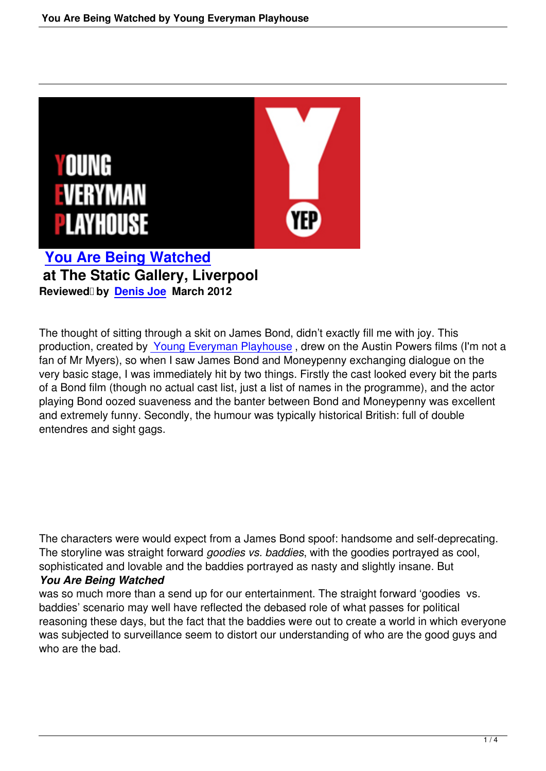

**You Are Being Watched at The Static Gallery, Liverpool [Reviewed by Denis Joe March 2](you-are-being-watched-young-everyman-playhouse.html)012**

The thought of [sitting throu](speakers.html#denis-joe)gh a skit on James Bond, didn't exactly fill me with joy. This production, created by Young Everyman Playhouse , drew on the Austin Powers films (I'm not a fan of Mr Myers), so when I saw James Bond and Moneypenny exchanging dialogue on the very basic stage, I was immediately hit by two things. Firstly the cast looked every bit the parts of a Bond film (though [no actual cast list, just a list of](http://www.everymanplayhouse.com/) names in the programme), and the actor playing Bond oozed suaveness and the banter between Bond and Moneypenny was excellent and extremely funny. Secondly, the humour was typically historical British: full of double entendres and sight gags.

The characters were would expect from a James Bond spoof: handsome and self-deprecating. The storyline was straight forward *goodies vs. baddies*, with the goodies portrayed as cool, sophisticated and lovable and the baddies portrayed as nasty and slightly insane. But

## *You Are Being Watched*

was so much more than a send up for our entertainment. The straight forward 'goodies vs. baddies' scenario may well have reflected the debased role of what passes for political reasoning these days, but the fact that the baddies were out to create a world in which everyone was subjected to surveillance seem to distort our understanding of who are the good guys and who are the bad.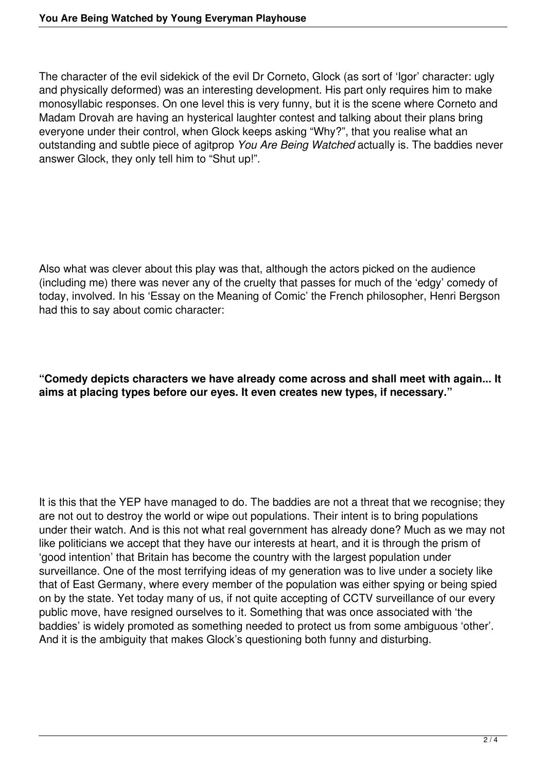The character of the evil sidekick of the evil Dr Corneto, Glock (as sort of 'Igor' character: ugly and physically deformed) was an interesting development. His part only requires him to make monosyllabic responses. On one level this is very funny, but it is the scene where Corneto and Madam Drovah are having an hysterical laughter contest and talking about their plans bring everyone under their control, when Glock keeps asking "Why?", that you realise what an outstanding and subtle piece of agitprop *You Are Being Watched* actually is. The baddies never answer Glock, they only tell him to "Shut up!".

Also what was clever about this play was that, although the actors picked on the audience (including me) there was never any of the cruelty that passes for much of the 'edgy' comedy of today, involved. In his 'Essay on the Meaning of Comic' the French philosopher, Henri Bergson had this to say about comic character:

## **"Comedy depicts characters we have already come across and shall meet with again... It aims at placing types before our eyes. It even creates new types, if necessary."**

It is this that the YEP have managed to do. The baddies are not a threat that we recognise; they are not out to destroy the world or wipe out populations. Their intent is to bring populations under their watch. And is this not what real government has already done? Much as we may not like politicians we accept that they have our interests at heart, and it is through the prism of 'good intention' that Britain has become the country with the largest population under surveillance. One of the most terrifying ideas of my generation was to live under a society like that of East Germany, where every member of the population was either spying or being spied on by the state. Yet today many of us, if not quite accepting of CCTV surveillance of our every public move, have resigned ourselves to it. Something that was once associated with 'the baddies' is widely promoted as something needed to protect us from some ambiguous 'other'. And it is the ambiguity that makes Glock's questioning both funny and disturbing.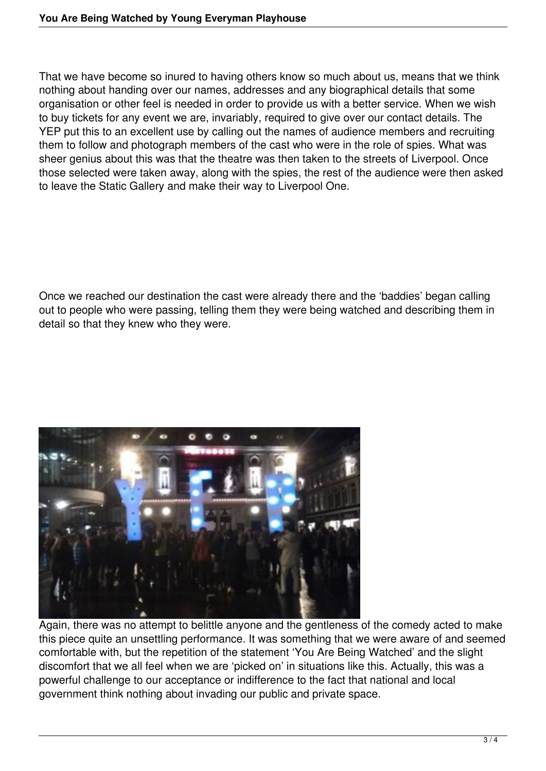That we have become so inured to having others know so much about us, means that we think nothing about handing over our names, addresses and any biographical details that some organisation or other feel is needed in order to provide us with a better service. When we wish to buy tickets for any event we are, invariably, required to give over our contact details. The YEP put this to an excellent use by calling out the names of audience members and recruiting them to follow and photograph members of the cast who were in the role of spies. What was sheer genius about this was that the theatre was then taken to the streets of Liverpool. Once those selected were taken away, along with the spies, the rest of the audience were then asked to leave the Static Gallery and make their way to Liverpool One.

Once we reached our destination the cast were already there and the 'baddies' began calling out to people who were passing, telling them they were being watched and describing them in detail so that they knew who they were.



Again, there was no attempt to belittle anyone and the gentleness of the comedy acted to make this piece quite an unsettling performance. It was something that we were aware of and seemed comfortable with, but the repetition of the statement 'You Are Being Watched' and the slight discomfort that we all feel when we are 'picked on' in situations like this. Actually, this was a powerful challenge to our acceptance or indifference to the fact that national and local government think nothing about invading our public and private space.